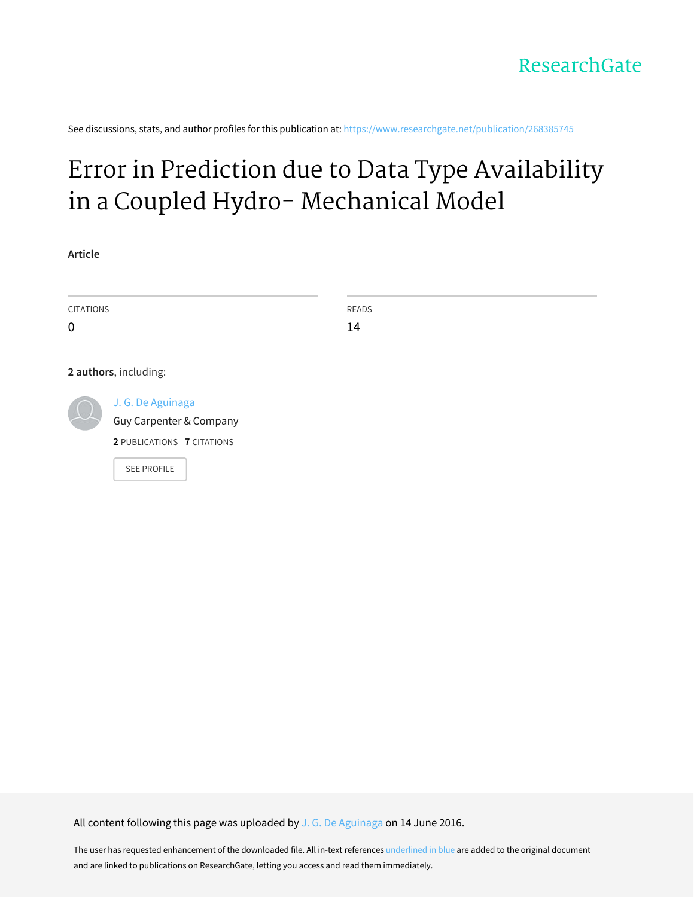See discussions, stats, and author profiles for this publication at: [https://www.researchgate.net/publication/268385745](https://www.researchgate.net/publication/268385745_Error_in_Prediction_due_to_Data_Type_Availability_in_a_Coupled_Hydro-_Mechanical_Model?enrichId=rgreq-85213c9e38bfcf0938aa3adf7c3dcd77-XXX&enrichSource=Y292ZXJQYWdlOzI2ODM4NTc0NTtBUzozNzI4MDY5NTQwNDU0NDFAMTQ2NTg5NTUxMjM3Mg%3D%3D&el=1_x_2&_esc=publicationCoverPdf)

# Error in Prediction due to Data Type [Availability](https://www.researchgate.net/publication/268385745_Error_in_Prediction_due_to_Data_Type_Availability_in_a_Coupled_Hydro-_Mechanical_Model?enrichId=rgreq-85213c9e38bfcf0938aa3adf7c3dcd77-XXX&enrichSource=Y292ZXJQYWdlOzI2ODM4NTc0NTtBUzozNzI4MDY5NTQwNDU0NDFAMTQ2NTg5NTUxMjM3Mg%3D%3D&el=1_x_3&_esc=publicationCoverPdf) in a Coupled Hydro- Mechanical Model

**Article**

| <b>CITATIONS</b> |                            | READS |
|------------------|----------------------------|-------|
| $\mathbf 0$      |                            | 14    |
|                  |                            |       |
|                  | 2 authors, including:      |       |
|                  | J. G. De Aguinaga          |       |
|                  | Guy Carpenter & Company    |       |
|                  | 2 PUBLICATIONS 7 CITATIONS |       |
|                  | <b>SEE PROFILE</b>         |       |

All content following this page was uploaded by J. G. De [Aguinaga](https://www.researchgate.net/profile/J_De_Aguinaga?enrichId=rgreq-85213c9e38bfcf0938aa3adf7c3dcd77-XXX&enrichSource=Y292ZXJQYWdlOzI2ODM4NTc0NTtBUzozNzI4MDY5NTQwNDU0NDFAMTQ2NTg5NTUxMjM3Mg%3D%3D&el=1_x_10&_esc=publicationCoverPdf) on 14 June 2016.

The user has requested enhancement of the downloaded file. All in-text references underlined in blue are added to the original document and are linked to publications on ResearchGate, letting you access and read them immediately.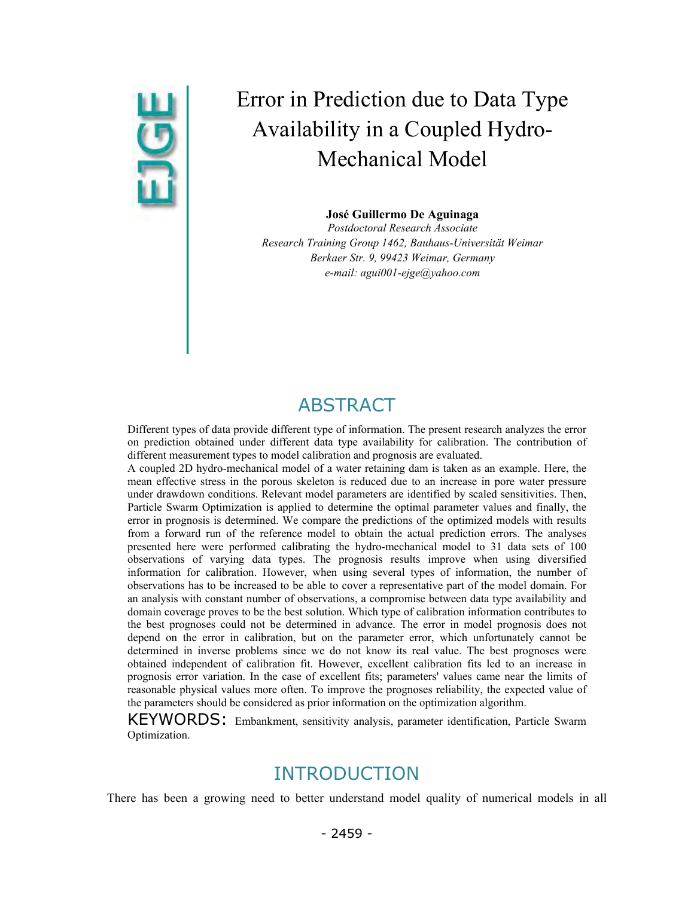# Error in Prediction due to Data Type<br>Availability in a Coupled Hydro-<br>Mechanical Model Availability in a Coupled Hydro-Mechanical Model

**José Guillermo De Aguinaga** 

*Postdoctoral Research Associate Research Training Group 1462, Bauhaus-Universität Weimar Berkaer Str. 9, 99423 Weimar, Germany e-mail: agui001-ejge@yahoo.com* 

# ABSTRACT

Different types of data provide different type of information. The present research analyzes the error on prediction obtained under different data type availability for calibration. The contribution of different measurement types to model calibration and prognosis are evaluated.

A coupled 2D hydro-mechanical model of a water retaining dam is taken as an example. Here, the mean effective stress in the porous skeleton is reduced due to an increase in pore water pressure under drawdown conditions. Relevant model parameters are identified by scaled sensitivities. Then, Particle Swarm Optimization is applied to determine the optimal parameter values and finally, the error in prognosis is determined. We compare the predictions of the optimized models with results from a forward run of the reference model to obtain the actual prediction errors. The analyses presented here were performed calibrating the hydro-mechanical model to 31 data sets of 100 observations of varying data types. The prognosis results improve when using diversified information for calibration. However, when using several types of information, the number of observations has to be increased to be able to cover a representative part of the model domain. For an analysis with constant number of observations, a compromise between data type availability and domain coverage proves to be the best solution. Which type of calibration information contributes to the best prognoses could not be determined in advance. The error in model prognosis does not depend on the error in calibration, but on the parameter error, which unfortunately cannot be determined in inverse problems since we do not know its real value. The best prognoses were obtained independent of calibration fit. However, excellent calibration fits led to an increase in prognosis error variation. In the case of excellent fits; parameters' values came near the limits of reasonable physical values more often. To improve the prognoses reliability, the expected value of the parameters should be considered as prior information on the optimization algorithm.

KEYWORDS: Embankment, sensitivity analysis, parameter identification, Particle Swarm Optimization.

# INTRODUCTION

There has been a growing need to better understand model quality of numerical models in all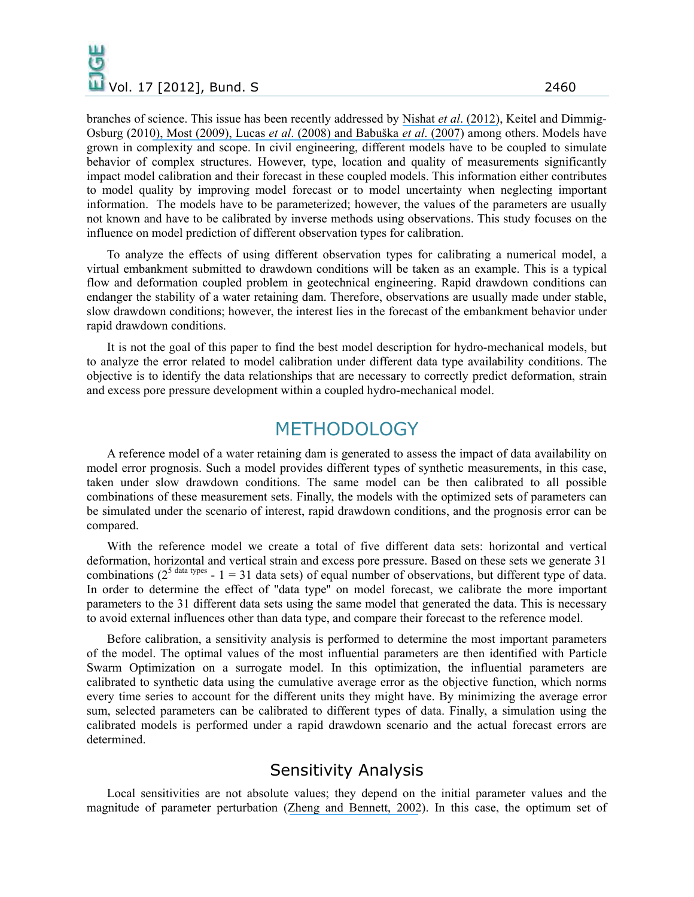branches of science. This issue has been recently addressed by Nishat *et al*[. \(2012\)](https://www.researchgate.net/publication/276991914_Relative_Importance_of_Input_Parameters_in_the_Modeling_of_Soil_Moisture_Dynamics_of_Small_Urban_Areas?el=1_x_8&enrichId=rgreq-85213c9e38bfcf0938aa3adf7c3dcd77-XXX&enrichSource=Y292ZXJQYWdlOzI2ODM4NTc0NTtBUzozNzI4MDY5NTQwNDU0NDFAMTQ2NTg5NTUxMjM3Mg==), Keitel and Dimmig-Osburg (201[0\), Most \(2009](https://www.researchgate.net/publication/229034159_Estimating_uncertainties_from_inaccurate_measurement_data_using_maximum_entropy_distributions?el=1_x_8&enrichId=rgreq-85213c9e38bfcf0938aa3adf7c3dcd77-XXX&enrichSource=Y292ZXJQYWdlOzI2ODM4NTc0NTtBUzozNzI4MDY5NTQwNDU0NDFAMTQ2NTg5NTUxMjM3Mg==)[\), Lucas](https://www.researchgate.net/publication/222664854_Rigorous_Verification_Validation_Uncertainty_Quantification_and_Certification_Through_concentration-of-Measure_Inequalities?el=1_x_8&enrichId=rgreq-85213c9e38bfcf0938aa3adf7c3dcd77-XXX&enrichSource=Y292ZXJQYWdlOzI2ODM4NTc0NTtBUzozNzI4MDY5NTQwNDU0NDFAMTQ2NTg5NTUxMjM3Mg==) *et al*. (200[8\) and Babuška](https://www.researchgate.net/publication/227670610_Reliability_of_computational_science?el=1_x_8&enrichId=rgreq-85213c9e38bfcf0938aa3adf7c3dcd77-XXX&enrichSource=Y292ZXJQYWdlOzI2ODM4NTc0NTtBUzozNzI4MDY5NTQwNDU0NDFAMTQ2NTg5NTUxMjM3Mg==) *et al*. (2007) among others. Models have grown in complexity and scope. In civil engineering, different models have to be coupled to simulate behavior of complex structures. However, type, location and quality of measurements significantly impact model calibration and their forecast in these coupled models. This information either contributes to model quality by improving model forecast or to model uncertainty when neglecting important information. The models have to be parameterized; however, the values of the parameters are usually not known and have to be calibrated by inverse methods using observations. This study focuses on the influence on model prediction of different observation types for calibration.

To analyze the effects of using different observation types for calibrating a numerical model, a virtual embankment submitted to drawdown conditions will be taken as an example. This is a typical flow and deformation coupled problem in geotechnical engineering. Rapid drawdown conditions can endanger the stability of a water retaining dam. Therefore, observations are usually made under stable, slow drawdown conditions; however, the interest lies in the forecast of the embankment behavior under rapid drawdown conditions.

It is not the goal of this paper to find the best model description for hydro-mechanical models, but to analyze the error related to model calibration under different data type availability conditions. The objective is to identify the data relationships that are necessary to correctly predict deformation, strain and excess pore pressure development within a coupled hydro-mechanical model.

## METHODOLOGY

A reference model of a water retaining dam is generated to assess the impact of data availability on model error prognosis. Such a model provides different types of synthetic measurements, in this case, taken under slow drawdown conditions. The same model can be then calibrated to all possible combinations of these measurement sets. Finally, the models with the optimized sets of parameters can be simulated under the scenario of interest, rapid drawdown conditions, and the prognosis error can be compared.

With the reference model we create a total of five different data sets: horizontal and vertical deformation, horizontal and vertical strain and excess pore pressure. Based on these sets we generate 31 combinations ( $2^{5}$  data types - 1 = 31 data sets) of equal number of observations, but different type of data. In order to determine the effect of ''data type'' on model forecast, we calibrate the more important parameters to the 31 different data sets using the same model that generated the data. This is necessary to avoid external influences other than data type, and compare their forecast to the reference model.

Before calibration, a sensitivity analysis is performed to determine the most important parameters of the model. The optimal values of the most influential parameters are then identified with Particle Swarm Optimization on a surrogate model. In this optimization, the influential parameters are calibrated to synthetic data using the cumulative average error as the objective function, which norms every time series to account for the different units they might have. By minimizing the average error sum, selected parameters can be calibrated to different types of data. Finally, a simulation using the calibrated models is performed under a rapid drawdown scenario and the actual forecast errors are determined.

### Sensitivity Analysis

Local sensitivities are not absolute values; they depend on the initial parameter values and the magnitude of parameter perturbation ([Zheng and Bennett, 2002](https://www.researchgate.net/publication/283734735_Applied_Contaminant_Transport_Modeling?el=1_x_8&enrichId=rgreq-85213c9e38bfcf0938aa3adf7c3dcd77-XXX&enrichSource=Y292ZXJQYWdlOzI2ODM4NTc0NTtBUzozNzI4MDY5NTQwNDU0NDFAMTQ2NTg5NTUxMjM3Mg==)). In this case, the optimum set of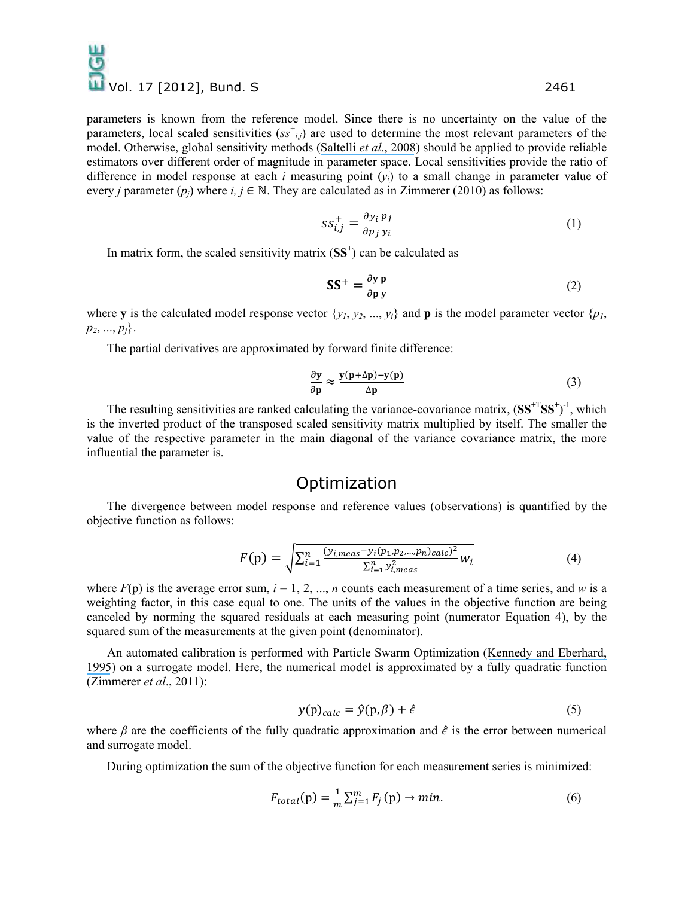parameters is known from the reference model. Since there is no uncertainty on the value of the parameters, local scaled sensitivities  $(s s^{\dagger}_{i,j})$  are used to determine the most relevant parameters of the model. Otherwise, global sensitivity methods ([Saltelli](https://www.researchgate.net/publication/253328104_Global_Sensitivity_Analysis_The_Primer?el=1_x_8&enrichId=rgreq-85213c9e38bfcf0938aa3adf7c3dcd77-XXX&enrichSource=Y292ZXJQYWdlOzI2ODM4NTc0NTtBUzozNzI4MDY5NTQwNDU0NDFAMTQ2NTg5NTUxMjM3Mg==) *et al*., 2008) should be applied to provide reliable estimators over different order of magnitude in parameter space. Local sensitivities provide the ratio of difference in model response at each *i* measuring point  $(v_i)$  to a small change in parameter value of every *j* parameter  $(p_i)$  where  $i, j \in \mathbb{N}$ . They are calculated as in Zimmerer (2010) as follows:

$$
SS_{i,j}^{+} = \frac{\partial y_i}{\partial p_j} \frac{p_j}{y_i} \tag{1}
$$

In matrix form, the scaled sensitivity matrix (**SS<sup>+</sup>** ) can be calculated as

$$
SS^{+} = \frac{\partial y}{\partial p} \frac{p}{y}
$$
 (2)

where **y** is the calculated model response vector  $\{y_1, y_2, ..., y_i\}$  and **p** is the model parameter vector  $\{p_i\}$  $p_2, ..., p_i$ .

The partial derivatives are approximated by forward finite difference:

$$
\frac{\partial y}{\partial p} \approx \frac{y(p+\Delta p) - y(p)}{\Delta p} \tag{3}
$$

The resulting sensitivities are ranked calculating the variance-covariance matrix,  $(SS^{+T}SS^{+})^{-1}$ , which is the inverted product of the transposed scaled sensitivity matrix multiplied by itself. The smaller the value of the respective parameter in the main diagonal of the variance covariance matrix, the more influential the parameter is.

#### Optimization

The divergence between model response and reference values (observations) is quantified by the objective function as follows:

$$
F(p) = \sqrt{\sum_{i=1}^{n} \frac{(y_{i,meas} - y_i(p_1, p_2, \dots, p_n)_{calc})^2}{\sum_{i=1}^{n} y_{i,meas}^2} W_i}
$$
(4)

where  $F(p)$  is the average error sum,  $i = 1, 2, ..., n$  counts each measurement of a time series, and *w* is a weighting factor, in this case equal to one. The units of the values in the objective function are being canceled by norming the squared residuals at each measuring point (numerator Equation 4), by the squared sum of the measurements at the given point (denominator).

An automated calibration is performed with Particle Swarm Optimization ([Kennedy and Eberhard,](https://www.researchgate.net/publication/285001025_Particle_swarm_optimization?el=1_x_8&enrichId=rgreq-85213c9e38bfcf0938aa3adf7c3dcd77-XXX&enrichSource=Y292ZXJQYWdlOzI2ODM4NTc0NTtBUzozNzI4MDY5NTQwNDU0NDFAMTQ2NTg5NTUxMjM3Mg==)  [1995](https://www.researchgate.net/publication/285001025_Particle_swarm_optimization?el=1_x_8&enrichId=rgreq-85213c9e38bfcf0938aa3adf7c3dcd77-XXX&enrichSource=Y292ZXJQYWdlOzI2ODM4NTc0NTtBUzozNzI4MDY5NTQwNDU0NDFAMTQ2NTg5NTUxMjM3Mg==)) on a surrogate model. Here, the numerical model is approximated by a fully quadratic function ([Zimmerer](https://www.researchgate.net/publication/267788352_Numerical_Analysis_of_Water_Reservoir_Dam_-Prediction_of_Long_Term_Performance_of_Versetal_Dam_Germany?el=1_x_8&enrichId=rgreq-85213c9e38bfcf0938aa3adf7c3dcd77-XXX&enrichSource=Y292ZXJQYWdlOzI2ODM4NTc0NTtBUzozNzI4MDY5NTQwNDU0NDFAMTQ2NTg5NTUxMjM3Mg==) *et al*., 2011):

$$
y(p)_{calc} = \hat{y}(p, \beta) + \hat{\epsilon}
$$
 (5)

where  $\beta$  are the coefficients of the fully quadratic approximation and  $\hat{\epsilon}$  is the error between numerical and surrogate model.

During optimization the sum of the objective function for each measurement series is minimized:

$$
F_{total}(p) = \frac{1}{m} \sum_{j=1}^{m} F_j(p) \rightarrow min. \tag{6}
$$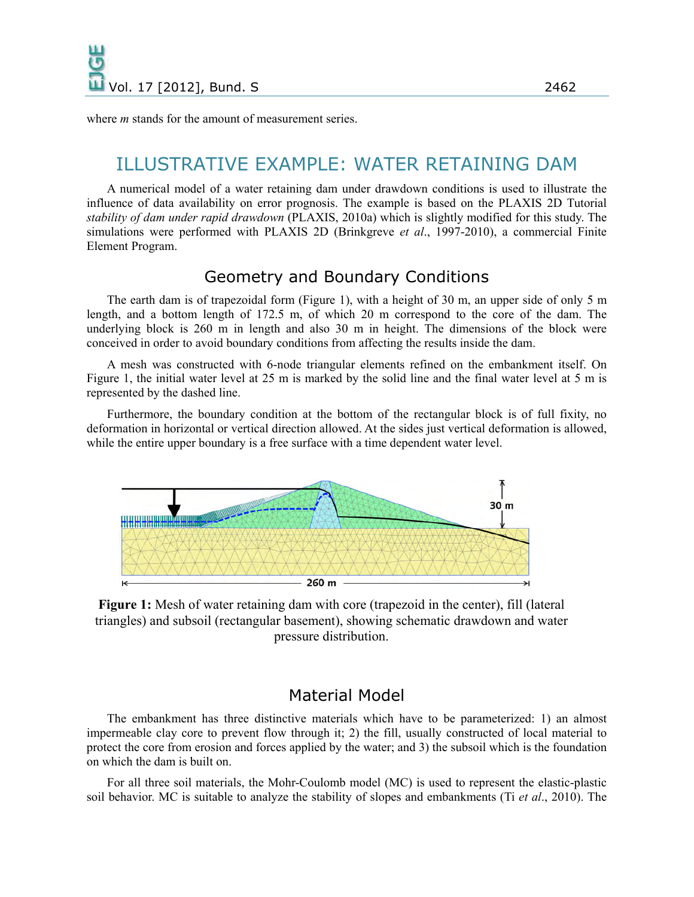where *m* stands for the amount of measurement series.

# ILLUSTRATIVE EXAMPLE: WATER RETAINING DAM

A numerical model of a water retaining dam under drawdown conditions is used to illustrate the influence of data availability on error prognosis. The example is based on the PLAXIS 2D Tutorial *stability of dam under rapid drawdown* (PLAXIS, 2010a) which is slightly modified for this study. The simulations were performed with PLAXIS 2D (Brinkgreve *et al*., 1997-2010), a commercial Finite Element Program.

#### Geometry and Boundary Conditions

The earth dam is of trapezoidal form (Figure 1), with a height of 30 m, an upper side of only 5 m length, and a bottom length of 172.5 m, of which 20 m correspond to the core of the dam. The underlying block is 260 m in length and also 30 m in height. The dimensions of the block were conceived in order to avoid boundary conditions from affecting the results inside the dam.

A mesh was constructed with 6-node triangular elements refined on the embankment itself. On Figure 1, the initial water level at 25 m is marked by the solid line and the final water level at 5 m is represented by the dashed line.

Furthermore, the boundary condition at the bottom of the rectangular block is of full fixity, no deformation in horizontal or vertical direction allowed. At the sides just vertical deformation is allowed, while the entire upper boundary is a free surface with a time dependent water level.



**Figure 1:** Mesh of water retaining dam with core (trapezoid in the center), fill (lateral triangles) and subsoil (rectangular basement), showing schematic drawdown and water pressure distribution.

#### Material Model

The embankment has three distinctive materials which have to be parameterized: 1) an almost impermeable clay core to prevent flow through it; 2) the fill, usually constructed of local material to protect the core from erosion and forces applied by the water; and 3) the subsoil which is the foundation on which the dam is built on.

For all three soil materials, the Mohr-Coulomb model (MC) is used to represent the elastic-plastic soil behavior. MC is suitable to analyze the stability of slopes and embankments (Ti *et al*., 2010). The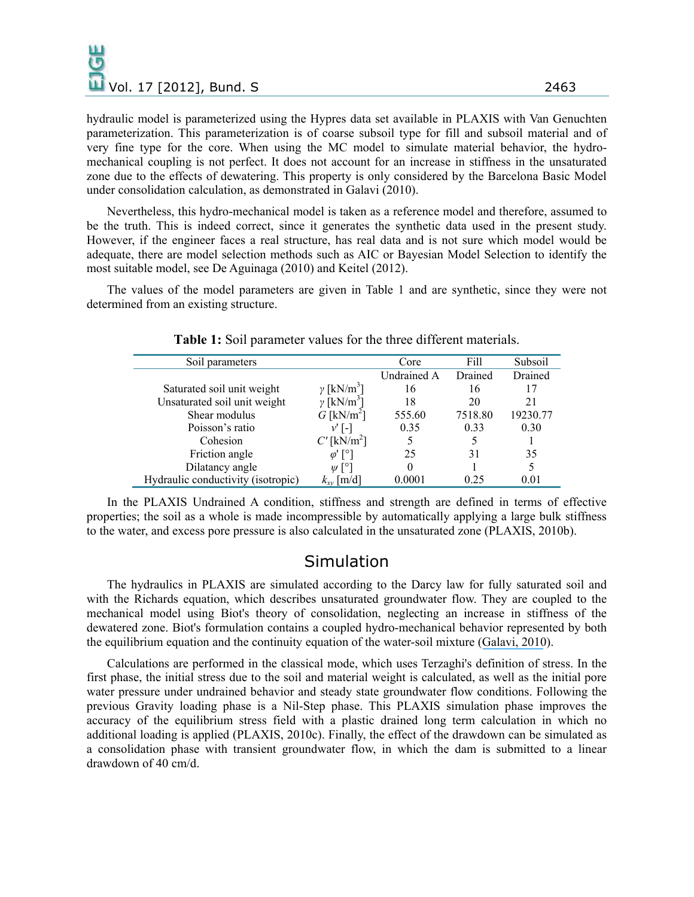hydraulic model is parameterized using the Hypres data set available in PLAXIS with Van Genuchten parameterization. This parameterization is of coarse subsoil type for fill and subsoil material and of very fine type for the core. When using the MC model to simulate material behavior, the hydromechanical coupling is not perfect. It does not account for an increase in stiffness in the unsaturated zone due to the effects of dewatering. This property is only considered by the Barcelona Basic Model under consolidation calculation, as demonstrated in Galavi (2010).

Nevertheless, this hydro-mechanical model is taken as a reference model and therefore, assumed to be the truth. This is indeed correct, since it generates the synthetic data used in the present study. However, if the engineer faces a real structure, has real data and is not sure which model would be adequate, there are model selection methods such as AIC or Bayesian Model Selection to identify the most suitable model, see De Aguinaga (2010) and Keitel (2012).

The values of the model parameters are given in Table 1 and are synthetic, since they were not determined from an existing structure.

| Soil parameters                    |                               | Core               | Fill    | Subsoil  |
|------------------------------------|-------------------------------|--------------------|---------|----------|
|                                    |                               | <b>Undrained A</b> | Drained | Drained  |
| Saturated soil unit weight         | $\gamma$ [kN/m <sup>3</sup> ] | 16                 | 16      | 17       |
| Unsaturated soil unit weight       | $\gamma$ [kN/m <sup>3</sup> ] | 18                 | 20      | 21       |
| Shear modulus                      | $G$ [kN/m <sup>2</sup> ]      | 555.60             | 7518.80 | 19230.77 |
| Poisson's ratio                    | $v'$ [-]                      | 0.35               | 0.33    | 0.30     |
| Cohesion                           | $C'$ [kN/m <sup>2</sup> ]     |                    |         |          |
| Friction angle                     | ω' Γ°1                        | 25                 | 31      | 35       |
| Dilatancy angle                    | $W[\degree]$                  | 0                  |         |          |
| Hydraulic conductivity (isotropic) | $k_{xy}$ [m/d]                | 0.0001             | 0.25    | 0.01     |

**Table 1:** Soil parameter values for the three different materials.

In the PLAXIS Undrained A condition, stiffness and strength are defined in terms of effective properties; the soil as a whole is made incompressible by automatically applying a large bulk stiffness to the water, and excess pore pressure is also calculated in the unsaturated zone (PLAXIS, 2010b).

#### **Simulation**

The hydraulics in PLAXIS are simulated according to the Darcy law for fully saturated soil and with the Richards equation, which describes unsaturated groundwater flow. They are coupled to the mechanical model using Biot's theory of consolidation, neglecting an increase in stiffness of the dewatered zone. Biot's formulation contains a coupled hydro-mechanical behavior represented by both the equilibrium equation and the continuity equation of the water-soil mixture ([Galavi, 2010](https://www.researchgate.net/publication/301232464_Groundwater_flow_fully_coupled_flow_deformation_and_undrained_analyses_in_PLAXIS_2D_and_3D?el=1_x_8&enrichId=rgreq-85213c9e38bfcf0938aa3adf7c3dcd77-XXX&enrichSource=Y292ZXJQYWdlOzI2ODM4NTc0NTtBUzozNzI4MDY5NTQwNDU0NDFAMTQ2NTg5NTUxMjM3Mg==)).

Calculations are performed in the classical mode, which uses Terzaghi's definition of stress. In the first phase, the initial stress due to the soil and material weight is calculated, as well as the initial pore water pressure under undrained behavior and steady state groundwater flow conditions. Following the previous Gravity loading phase is a Nil-Step phase. This PLAXIS simulation phase improves the accuracy of the equilibrium stress field with a plastic drained long term calculation in which no additional loading is applied (PLAXIS, 2010c). Finally, the effect of the drawdown can be simulated as a consolidation phase with transient groundwater flow, in which the dam is submitted to a linear drawdown of 40 cm/d.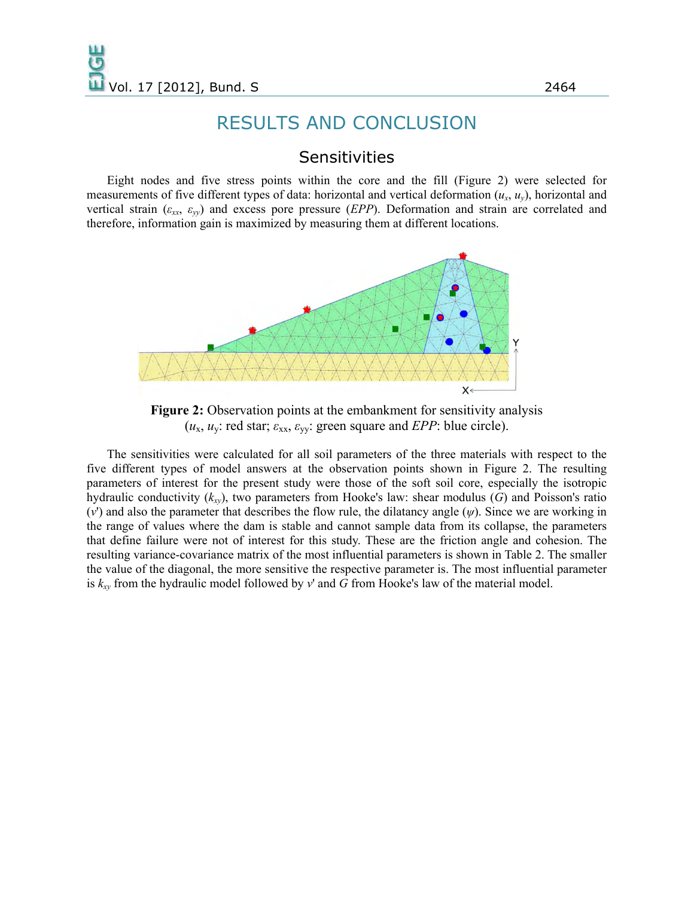# RESULTS AND CONCLUSION

#### **Sensitivities**

Eight nodes and five stress points within the core and the fill (Figure 2) were selected for measurements of five different types of data: horizontal and vertical deformation  $(u_x, u_y)$ , horizontal and vertical strain ( $\varepsilon_{xx}$ ,  $\varepsilon_{yy}$ ) and excess pore pressure (*EPP*). Deformation and strain are correlated and therefore, information gain is maximized by measuring them at different locations.



**Figure 2:** Observation points at the embankment for sensitivity analysis (*u*x, *u*y: red star; *ε*xx, *ε*yy: green square and *EPP*: blue circle).

The sensitivities were calculated for all soil parameters of the three materials with respect to the five different types of model answers at the observation points shown in Figure 2. The resulting parameters of interest for the present study were those of the soft soil core, especially the isotropic hydraulic conductivity (*kxy*), two parameters from Hooke's law: shear modulus (*G*) and Poisson's ratio (*v*') and also the parameter that describes the flow rule, the dilatancy angle (*ψ*). Since we are working in the range of values where the dam is stable and cannot sample data from its collapse, the parameters that define failure were not of interest for this study. These are the friction angle and cohesion. The resulting variance-covariance matrix of the most influential parameters is shown in Table 2. The smaller the value of the diagonal, the more sensitive the respective parameter is. The most influential parameter is *kxy* from the hydraulic model followed by *v*' and *G* from Hooke's law of the material model.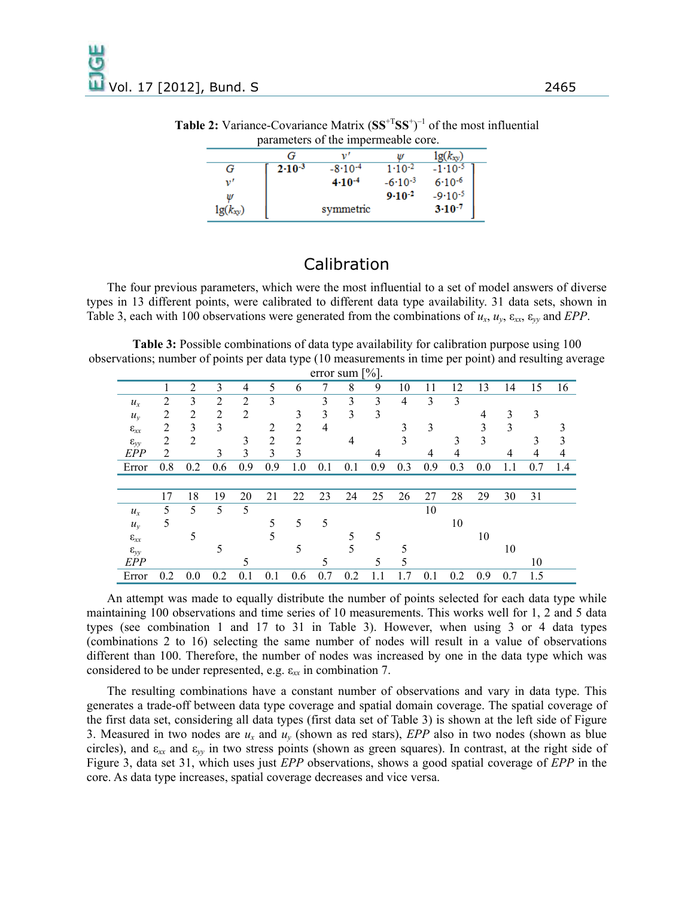| <u>perent versus of entering ville wolver to the</u> |                   |               |                   |               |  |  |  |  |  |  |  |
|------------------------------------------------------|-------------------|---------------|-------------------|---------------|--|--|--|--|--|--|--|
|                                                      |                   |               |                   | $lg(k_{xy})$  |  |  |  |  |  |  |  |
| G                                                    | $2 \cdot 10^{-3}$ | $-8.10^{-4}$  | $1 \cdot 10^{-2}$ | $-1.10^{-5}$  |  |  |  |  |  |  |  |
| v'                                                   |                   | $4 - 10^{-4}$ | $-6.10^{-3}$      | $6.10^{-6}$   |  |  |  |  |  |  |  |
| W                                                    |                   |               | $9-10^{-2}$       | $-9.10-5$     |  |  |  |  |  |  |  |
| $\lg(k_{xy})$                                        |                   | symmetric     |                   | $3 - 10^{-7}$ |  |  |  |  |  |  |  |

**Table 2:** Variance-Covariance Matrix  $(SS^{+T}SS^{+})^{-1}$  of the most influential parameters of the impermeable core.

### Calibration

The four previous parameters, which were the most influential to a set of model answers of diverse types in 13 different points, were calibrated to different data type availability. 31 data sets, shown in Table 3, each with 100 observations were generated from the combinations of  $u_x$ ,  $u_y$ ,  $\varepsilon_{xx}$ ,  $\varepsilon_{yy}$  and *EPP*.

**Table 3:** Possible combinations of data type availability for calibration purpose using 100 observations; number of points per data type (10 measurements in time per point) and resulting average  $error$  cum  $[0/3]$ 

| $C11U1$ sum $ 70 $ . |     |                |                |                |     |                |     |     |     |     |     |     |     |     |     |     |
|----------------------|-----|----------------|----------------|----------------|-----|----------------|-----|-----|-----|-----|-----|-----|-----|-----|-----|-----|
|                      |     | $\overline{2}$ | 3              | $\overline{4}$ | 5   | 6              | 7   | 8   | 9   | 10  | 11  | 12  | 13  | 14  | 15  | 16  |
| $u_x$                | 2   | 3              | $\overline{2}$ | $\overline{2}$ | 3   |                | 3   | 3   | 3   | 4   | 3   | 3   |     |     |     |     |
| $u_y$                | 2   | 2              | 2              | $\overline{2}$ |     | 3              | 3   | 3   | 3   |     |     |     | 4   | 3   | 3   |     |
| $\epsilon_{xx}$      | 2   | 3              | 3              |                | 2   | $\overline{2}$ | 4   |     |     | 3   | 3   |     | 3   | 3   |     |     |
| $\epsilon_{yy}$      | 2   | $\overline{2}$ |                | 3              | 2   | $\overline{c}$ |     | 4   |     | 3   |     | 3   | 3   |     | 3   | 3   |
| EPP                  | 2   |                | 3              | 3              | 3   | 3              |     |     | 4   |     | 4   | 4   |     | 4   | 4   | 4   |
| Error                | 0.8 | 0.2            | 0.6            | 0.9            | 0.9 | 1.0            | 0.1 | 0.1 | 0.9 | 0.3 | 0.9 | 0.3 | 0.0 | 1.1 | 0.7 | 1.4 |
|                      |     |                |                |                |     |                |     |     |     |     |     |     |     |     |     |     |
|                      | 17  | 18             | 19             | 20             | 21  | 22             | 23  | 24  | 25  | 26  | 27  | 28  | 29  | 30  | 31  |     |
| $u_x$                | 5   | 5              | 5              | 5              |     |                |     |     |     |     | 10  |     |     |     |     |     |
| $u_y$                | 5   |                |                |                | 5   | 5              | 5   |     |     |     |     | 10  |     |     |     |     |
| $\epsilon_{xx}$      |     | 5              |                |                |     |                |     | 5   | 5   |     |     |     | 10  |     |     |     |
| $\epsilon_{yy}$      |     |                |                |                |     |                |     |     |     |     |     |     |     | 10  |     |     |
| EPP                  |     |                |                | 5              |     |                |     |     | 5   | 5   |     |     |     |     | 10  |     |
|                      |     |                |                |                |     |                |     |     |     |     |     |     |     |     |     |     |

An attempt was made to equally distribute the number of points selected for each data type while maintaining 100 observations and time series of 10 measurements. This works well for 1, 2 and 5 data types (see combination 1 and 17 to 31 in Table 3). However, when using 3 or 4 data types (combinations 2 to 16) selecting the same number of nodes will result in a value of observations different than 100. Therefore, the number of nodes was increased by one in the data type which was considered to be under represented, e.g. ε*xx* in combination 7.

The resulting combinations have a constant number of observations and vary in data type. This generates a trade-off between data type coverage and spatial domain coverage. The spatial coverage of the first data set, considering all data types (first data set of Table 3) is shown at the left side of Figure 3. Measured in two nodes are *ux* and *uy* (shown as red stars), *EPP* also in two nodes (shown as blue circles), and  $\varepsilon_{xx}$  and  $\varepsilon_{yy}$  in two stress points (shown as green squares). In contrast, at the right side of Figure 3, data set 31, which uses just *EPP* observations, shows a good spatial coverage of *EPP* in the core. As data type increases, spatial coverage decreases and vice versa.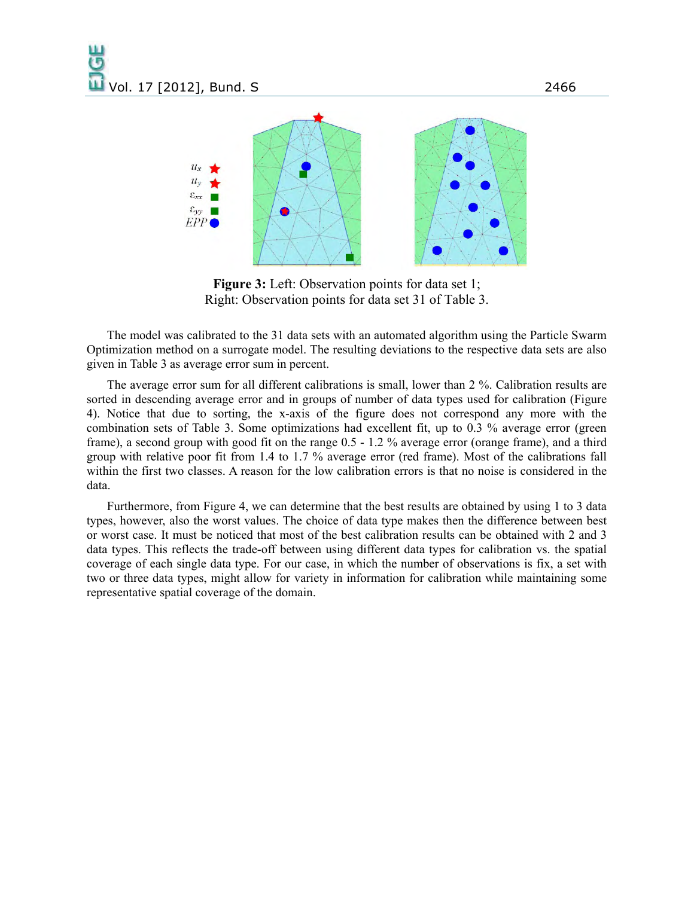

**Figure 3:** Left: Observation points for data set 1; Right: Observation points for data set 31 of Table 3.

The model was calibrated to the 31 data sets with an automated algorithm using the Particle Swarm Optimization method on a surrogate model. The resulting deviations to the respective data sets are also given in Table 3 as average error sum in percent.

The average error sum for all different calibrations is small, lower than 2 %. Calibration results are sorted in descending average error and in groups of number of data types used for calibration (Figure 4). Notice that due to sorting, the x-axis of the figure does not correspond any more with the combination sets of Table 3. Some optimizations had excellent fit, up to 0.3 % average error (green frame), a second group with good fit on the range 0.5 - 1.2 % average error (orange frame), and a third group with relative poor fit from 1.4 to 1.7 % average error (red frame). Most of the calibrations fall within the first two classes. A reason for the low calibration errors is that no noise is considered in the data.

Furthermore, from Figure 4, we can determine that the best results are obtained by using 1 to 3 data types, however, also the worst values. The choice of data type makes then the difference between best or worst case. It must be noticed that most of the best calibration results can be obtained with 2 and 3 data types. This reflects the trade-off between using different data types for calibration vs. the spatial coverage of each single data type. For our case, in which the number of observations is fix, a set with two or three data types, might allow for variety in information for calibration while maintaining some representative spatial coverage of the domain.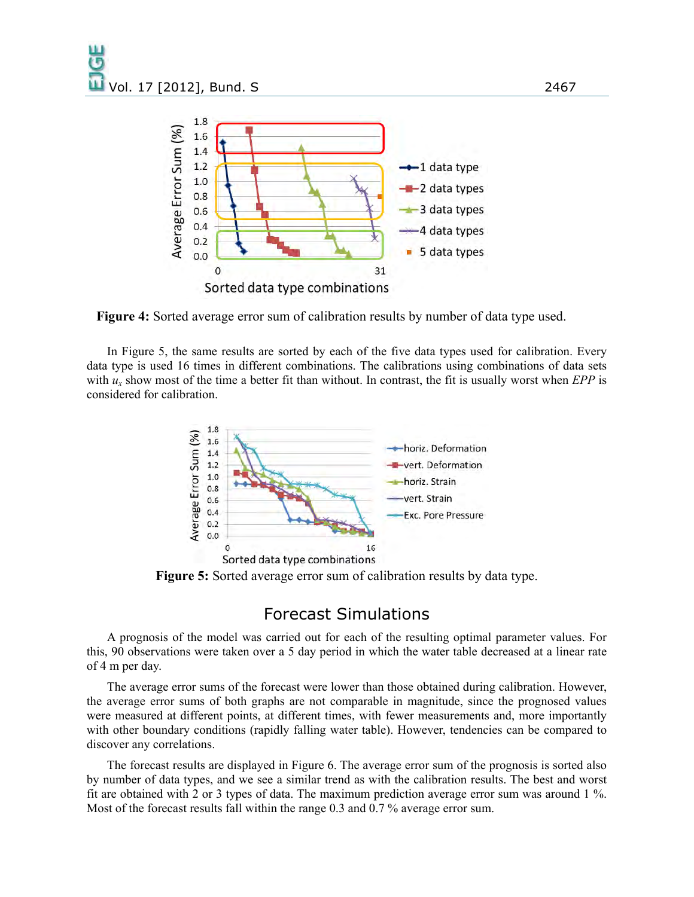

**Figure 4:** Sorted average error sum of calibration results by number of data type used.

In Figure 5, the same results are sorted by each of the five data types used for calibration. Every data type is used 16 times in different combinations. The calibrations using combinations of data sets with  $u_x$  show most of the time a better fit than without. In contrast, the fit is usually worst when *EPP* is considered for calibration.



**Figure 5:** Sorted average error sum of calibration results by data type.

#### Forecast Simulations

A prognosis of the model was carried out for each of the resulting optimal parameter values. For this, 90 observations were taken over a 5 day period in which the water table decreased at a linear rate of 4 m per day.

The average error sums of the forecast were lower than those obtained during calibration. However, the average error sums of both graphs are not comparable in magnitude, since the prognosed values were measured at different points, at different times, with fewer measurements and, more importantly with other boundary conditions (rapidly falling water table). However, tendencies can be compared to discover any correlations.

The forecast results are displayed in Figure 6. The average error sum of the prognosis is sorted also by number of data types, and we see a similar trend as with the calibration results. The best and worst fit are obtained with 2 or 3 types of data. The maximum prediction average error sum was around 1 %. Most of the forecast results fall within the range 0.3 and 0.7 % average error sum.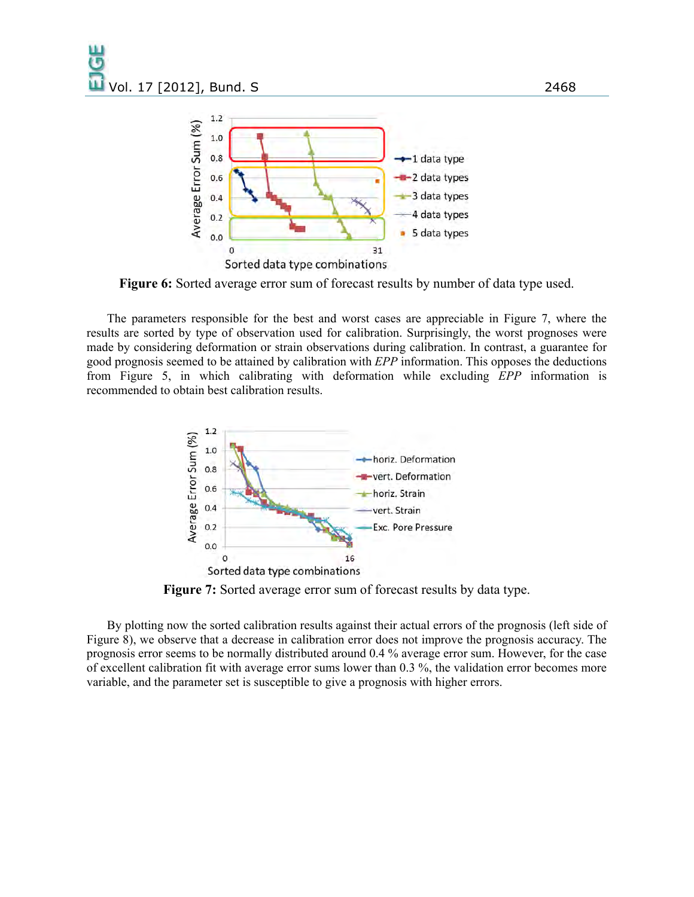

**Figure 6:** Sorted average error sum of forecast results by number of data type used.

The parameters responsible for the best and worst cases are appreciable in Figure 7, where the results are sorted by type of observation used for calibration. Surprisingly, the worst prognoses were made by considering deformation or strain observations during calibration. In contrast, a guarantee for good prognosis seemed to be attained by calibration with *EPP* information. This opposes the deductions from Figure 5, in which calibrating with deformation while excluding *EPP* information is recommended to obtain best calibration results.



**Figure 7:** Sorted average error sum of forecast results by data type.

By plotting now the sorted calibration results against their actual errors of the prognosis (left side of Figure 8), we observe that a decrease in calibration error does not improve the prognosis accuracy. The prognosis error seems to be normally distributed around 0.4 % average error sum. However, for the case of excellent calibration fit with average error sums lower than 0.3 %, the validation error becomes more variable, and the parameter set is susceptible to give a prognosis with higher errors.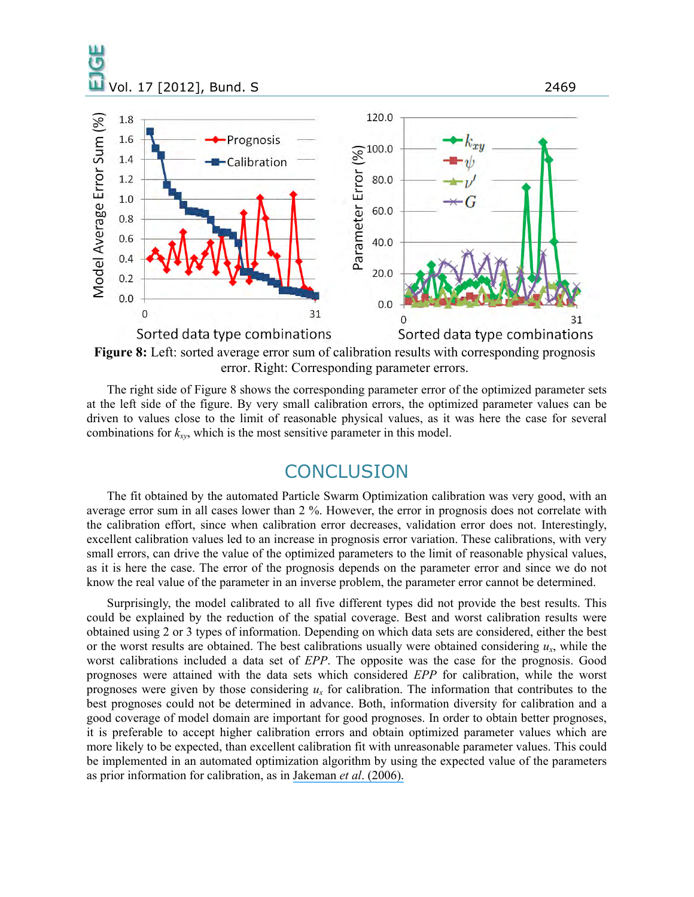

**Figure 8:** Left: sorted average error sum of calibration results with corresponding prognosis error. Right: Corresponding parameter errors.

The right side of Figure 8 shows the corresponding parameter error of the optimized parameter sets at the left side of the figure. By very small calibration errors, the optimized parameter values can be driven to values close to the limit of reasonable physical values, as it was here the case for several combinations for  $k_{xy}$ , which is the most sensitive parameter in this model.

### **CONCLUSION**

The fit obtained by the automated Particle Swarm Optimization calibration was very good, with an average error sum in all cases lower than 2 %. However, the error in prognosis does not correlate with the calibration effort, since when calibration error decreases, validation error does not. Interestingly, excellent calibration values led to an increase in prognosis error variation. These calibrations, with very small errors, can drive the value of the optimized parameters to the limit of reasonable physical values, as it is here the case. The error of the prognosis depends on the parameter error and since we do not know the real value of the parameter in an inverse problem, the parameter error cannot be determined.

Surprisingly, the model calibrated to all five different types did not provide the best results. This could be explained by the reduction of the spatial coverage. Best and worst calibration results were obtained using 2 or 3 types of information. Depending on which data sets are considered, either the best or the worst results are obtained. The best calibrations usually were obtained considering *ux*, while the worst calibrations included a data set of *EPP*. The opposite was the case for the prognosis. Good prognoses were attained with the data sets which considered *EPP* for calibration, while the worst prognoses were given by those considering  $u_x$  for calibration. The information that contributes to the best prognoses could not be determined in advance. Both, information diversity for calibration and a good coverage of model domain are important for good prognoses. In order to obtain better prognoses, it is preferable to accept higher calibration errors and obtain optimized parameter values which are more likely to be expected, than excellent calibration fit with unreasonable parameter values. This could be implemented in an automated optimization algorithm by using the expected value of the parameters as prior information for calibration, as in [Jakeman](https://www.researchgate.net/publication/287462209_Ten_iterative_steps_in_development_and_evaluation_of_environmental_models?el=1_x_8&enrichId=rgreq-85213c9e38bfcf0938aa3adf7c3dcd77-XXX&enrichSource=Y292ZXJQYWdlOzI2ODM4NTc0NTtBUzozNzI4MDY5NTQwNDU0NDFAMTQ2NTg5NTUxMjM3Mg==) *et al*. (2006).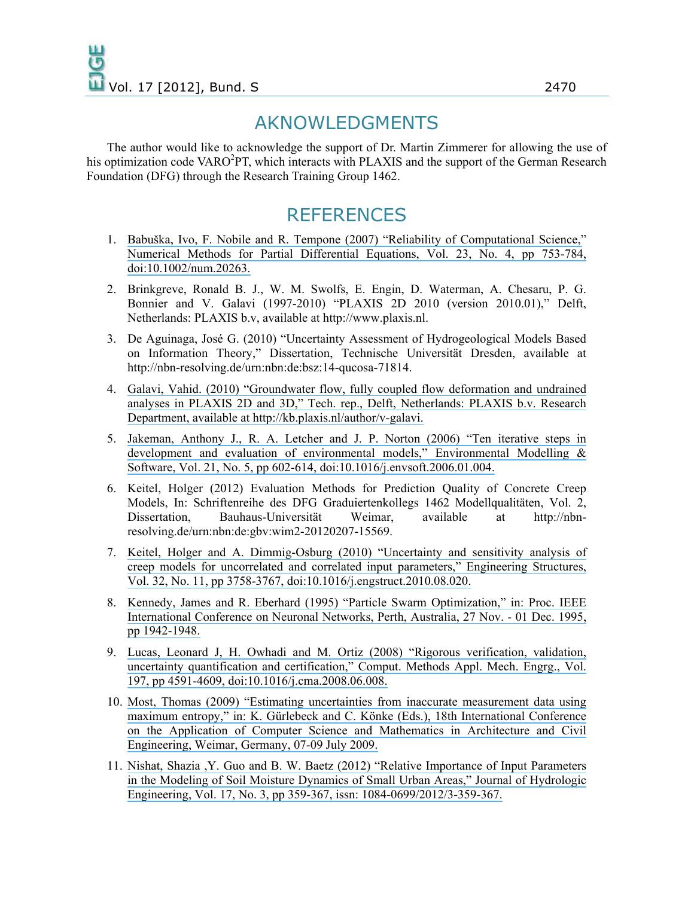# AKNOWLEDGMENTS

The author would like to acknowledge the support of Dr. Martin Zimmerer for allowing the use of his optimization code VARO<sup>2</sup>PT, which interacts with PLAXIS and the support of the German Research Foundation (DFG) through the Research Training Group 1462.

# **REFERENCES**

- 1. [Babuška, Ivo, F. Nobile and R. Tempone \(2007\) "Reliability of Computational Science,"](https://www.researchgate.net/publication/227670610_Reliability_of_computational_science?el=1_x_8&enrichId=rgreq-85213c9e38bfcf0938aa3adf7c3dcd77-XXX&enrichSource=Y292ZXJQYWdlOzI2ODM4NTc0NTtBUzozNzI4MDY5NTQwNDU0NDFAMTQ2NTg5NTUxMjM3Mg==) [Numerical Methods for Partial Differential Equations, Vol. 23, No. 4, pp 753-784,](https://www.researchgate.net/publication/227670610_Reliability_of_computational_science?el=1_x_8&enrichId=rgreq-85213c9e38bfcf0938aa3adf7c3dcd77-XXX&enrichSource=Y292ZXJQYWdlOzI2ODM4NTc0NTtBUzozNzI4MDY5NTQwNDU0NDFAMTQ2NTg5NTUxMjM3Mg==)  [doi:10.1002/num.20263.](https://www.researchgate.net/publication/227670610_Reliability_of_computational_science?el=1_x_8&enrichId=rgreq-85213c9e38bfcf0938aa3adf7c3dcd77-XXX&enrichSource=Y292ZXJQYWdlOzI2ODM4NTc0NTtBUzozNzI4MDY5NTQwNDU0NDFAMTQ2NTg5NTUxMjM3Mg==)
- 2. Brinkgreve, Ronald B. J., W. M. Swolfs, E. Engin, D. Waterman, A. Chesaru, P. G. Bonnier and V. Galavi (1997-2010) "PLAXIS 2D 2010 (version 2010.01)," Delft, Netherlands: PLAXIS b.v, available at http://www.plaxis.nl.
- 3. De Aguinaga, José G. (2010) "Uncertainty Assessment of Hydrogeological Models Based on Information Theory," Dissertation, Technische Universität Dresden, available at http://nbn-resolving.de/urn:nbn:de:bsz:14-qucosa-71814.
- 4. [Galavi, Vahid. \(2010\) "Groundwater flow, fully coupled flow deformation and undrained](https://www.researchgate.net/publication/301232464_Groundwater_flow_fully_coupled_flow_deformation_and_undrained_analyses_in_PLAXIS_2D_and_3D?el=1_x_8&enrichId=rgreq-85213c9e38bfcf0938aa3adf7c3dcd77-XXX&enrichSource=Y292ZXJQYWdlOzI2ODM4NTc0NTtBUzozNzI4MDY5NTQwNDU0NDFAMTQ2NTg5NTUxMjM3Mg==)  [analyses in PLAXIS 2D and 3D," Tech. rep., Delft, Netherlands: PLAXIS b.v. Research](https://www.researchgate.net/publication/301232464_Groundwater_flow_fully_coupled_flow_deformation_and_undrained_analyses_in_PLAXIS_2D_and_3D?el=1_x_8&enrichId=rgreq-85213c9e38bfcf0938aa3adf7c3dcd77-XXX&enrichSource=Y292ZXJQYWdlOzI2ODM4NTc0NTtBUzozNzI4MDY5NTQwNDU0NDFAMTQ2NTg5NTUxMjM3Mg==) [Department, available at http://kb.plaxis.nl/author/v-galavi.](https://www.researchgate.net/publication/301232464_Groundwater_flow_fully_coupled_flow_deformation_and_undrained_analyses_in_PLAXIS_2D_and_3D?el=1_x_8&enrichId=rgreq-85213c9e38bfcf0938aa3adf7c3dcd77-XXX&enrichSource=Y292ZXJQYWdlOzI2ODM4NTc0NTtBUzozNzI4MDY5NTQwNDU0NDFAMTQ2NTg5NTUxMjM3Mg==)
- 5. [Jakeman, Anthony J., R. A. Letcher and J. P. Norton \(2006\) "Ten iterative steps in](https://www.researchgate.net/publication/287462209_Ten_iterative_steps_in_development_and_evaluation_of_environmental_models?el=1_x_8&enrichId=rgreq-85213c9e38bfcf0938aa3adf7c3dcd77-XXX&enrichSource=Y292ZXJQYWdlOzI2ODM4NTc0NTtBUzozNzI4MDY5NTQwNDU0NDFAMTQ2NTg5NTUxMjM3Mg==) [development and evaluation of environmental models," Environmental Modelling &](https://www.researchgate.net/publication/287462209_Ten_iterative_steps_in_development_and_evaluation_of_environmental_models?el=1_x_8&enrichId=rgreq-85213c9e38bfcf0938aa3adf7c3dcd77-XXX&enrichSource=Y292ZXJQYWdlOzI2ODM4NTc0NTtBUzozNzI4MDY5NTQwNDU0NDFAMTQ2NTg5NTUxMjM3Mg==)  [Software, Vol. 21, No. 5, pp 602-614, doi:10.1016/j.envsoft.2006.01.004.](https://www.researchgate.net/publication/287462209_Ten_iterative_steps_in_development_and_evaluation_of_environmental_models?el=1_x_8&enrichId=rgreq-85213c9e38bfcf0938aa3adf7c3dcd77-XXX&enrichSource=Y292ZXJQYWdlOzI2ODM4NTc0NTtBUzozNzI4MDY5NTQwNDU0NDFAMTQ2NTg5NTUxMjM3Mg==)
- 6. Keitel, Holger (2012) Evaluation Methods for Prediction Quality of Concrete Creep Models, In: Schriftenreihe des DFG Graduiertenkollegs 1462 Modellqualitäten, Vol. 2, Dissertation, Bauhaus-Universität Weimar, available at http://nbnresolving.de/urn:nbn:de:gbv:wim2-20120207-15569.
- 7. [Keitel, Holger and A. Dimmig-Osburg \(2010\) "Uncertainty and sensitivity analysis of](https://www.researchgate.net/publication/251508681_Uncertainty_and_sensitivity_analysis_of_creep_models_for_uncorrelated_and_correlated_input_parameters?el=1_x_8&enrichId=rgreq-85213c9e38bfcf0938aa3adf7c3dcd77-XXX&enrichSource=Y292ZXJQYWdlOzI2ODM4NTc0NTtBUzozNzI4MDY5NTQwNDU0NDFAMTQ2NTg5NTUxMjM3Mg==)  [creep models for uncorrelated and correlated input parameters," Engineering Structures,](https://www.researchgate.net/publication/251508681_Uncertainty_and_sensitivity_analysis_of_creep_models_for_uncorrelated_and_correlated_input_parameters?el=1_x_8&enrichId=rgreq-85213c9e38bfcf0938aa3adf7c3dcd77-XXX&enrichSource=Y292ZXJQYWdlOzI2ODM4NTc0NTtBUzozNzI4MDY5NTQwNDU0NDFAMTQ2NTg5NTUxMjM3Mg==)  [Vol. 32, No. 11, pp 3758-3767, doi:10.1016/j.engstruct.2010.08.020.](https://www.researchgate.net/publication/251508681_Uncertainty_and_sensitivity_analysis_of_creep_models_for_uncorrelated_and_correlated_input_parameters?el=1_x_8&enrichId=rgreq-85213c9e38bfcf0938aa3adf7c3dcd77-XXX&enrichSource=Y292ZXJQYWdlOzI2ODM4NTc0NTtBUzozNzI4MDY5NTQwNDU0NDFAMTQ2NTg5NTUxMjM3Mg==)
- 8. [Kennedy, James and R. Eberhard \(1995\) "Particle Swarm Optimization," in: Proc. IEEE](https://www.researchgate.net/publication/285001025_Particle_swarm_optimization?el=1_x_8&enrichId=rgreq-85213c9e38bfcf0938aa3adf7c3dcd77-XXX&enrichSource=Y292ZXJQYWdlOzI2ODM4NTc0NTtBUzozNzI4MDY5NTQwNDU0NDFAMTQ2NTg5NTUxMjM3Mg==)  [International Conference on Neuronal Networks, Perth, Australia, 27 Nov. - 01 Dec. 1995,](https://www.researchgate.net/publication/285001025_Particle_swarm_optimization?el=1_x_8&enrichId=rgreq-85213c9e38bfcf0938aa3adf7c3dcd77-XXX&enrichSource=Y292ZXJQYWdlOzI2ODM4NTc0NTtBUzozNzI4MDY5NTQwNDU0NDFAMTQ2NTg5NTUxMjM3Mg==)  [pp 1942-1948.](https://www.researchgate.net/publication/285001025_Particle_swarm_optimization?el=1_x_8&enrichId=rgreq-85213c9e38bfcf0938aa3adf7c3dcd77-XXX&enrichSource=Y292ZXJQYWdlOzI2ODM4NTc0NTtBUzozNzI4MDY5NTQwNDU0NDFAMTQ2NTg5NTUxMjM3Mg==)
- 9. [Lucas, Leonard J, H. Owhadi and M. Ortiz \(2008\) "Rigorous verification, validation,](https://www.researchgate.net/publication/222664854_Rigorous_Verification_Validation_Uncertainty_Quantification_and_Certification_Through_concentration-of-Measure_Inequalities?el=1_x_8&enrichId=rgreq-85213c9e38bfcf0938aa3adf7c3dcd77-XXX&enrichSource=Y292ZXJQYWdlOzI2ODM4NTc0NTtBUzozNzI4MDY5NTQwNDU0NDFAMTQ2NTg5NTUxMjM3Mg==) [uncertainty quantification and certification," Comput. Methods Appl. Mech. Engrg., Vol.](https://www.researchgate.net/publication/222664854_Rigorous_Verification_Validation_Uncertainty_Quantification_and_Certification_Through_concentration-of-Measure_Inequalities?el=1_x_8&enrichId=rgreq-85213c9e38bfcf0938aa3adf7c3dcd77-XXX&enrichSource=Y292ZXJQYWdlOzI2ODM4NTc0NTtBUzozNzI4MDY5NTQwNDU0NDFAMTQ2NTg5NTUxMjM3Mg==)  [197, pp 4591-4609, doi:10.1016/j.cma.2008.06.008.](https://www.researchgate.net/publication/222664854_Rigorous_Verification_Validation_Uncertainty_Quantification_and_Certification_Through_concentration-of-Measure_Inequalities?el=1_x_8&enrichId=rgreq-85213c9e38bfcf0938aa3adf7c3dcd77-XXX&enrichSource=Y292ZXJQYWdlOzI2ODM4NTc0NTtBUzozNzI4MDY5NTQwNDU0NDFAMTQ2NTg5NTUxMjM3Mg==)
- 10. [Most, Thomas \(2009\) "Estimating uncertainties from inaccurate measurement data using](https://www.researchgate.net/publication/229034159_Estimating_uncertainties_from_inaccurate_measurement_data_using_maximum_entropy_distributions?el=1_x_8&enrichId=rgreq-85213c9e38bfcf0938aa3adf7c3dcd77-XXX&enrichSource=Y292ZXJQYWdlOzI2ODM4NTc0NTtBUzozNzI4MDY5NTQwNDU0NDFAMTQ2NTg5NTUxMjM3Mg==) [maximum entropy," in: K. Gürlebeck and C. Könke \(Eds.\), 18th International Conference](https://www.researchgate.net/publication/229034159_Estimating_uncertainties_from_inaccurate_measurement_data_using_maximum_entropy_distributions?el=1_x_8&enrichId=rgreq-85213c9e38bfcf0938aa3adf7c3dcd77-XXX&enrichSource=Y292ZXJQYWdlOzI2ODM4NTc0NTtBUzozNzI4MDY5NTQwNDU0NDFAMTQ2NTg5NTUxMjM3Mg==)  [on the Application of Computer Science and Mathematics in Architecture and Civil](https://www.researchgate.net/publication/229034159_Estimating_uncertainties_from_inaccurate_measurement_data_using_maximum_entropy_distributions?el=1_x_8&enrichId=rgreq-85213c9e38bfcf0938aa3adf7c3dcd77-XXX&enrichSource=Y292ZXJQYWdlOzI2ODM4NTc0NTtBUzozNzI4MDY5NTQwNDU0NDFAMTQ2NTg5NTUxMjM3Mg==)  [Engineering, Weimar, Germany, 07-09 July 2009.](https://www.researchgate.net/publication/229034159_Estimating_uncertainties_from_inaccurate_measurement_data_using_maximum_entropy_distributions?el=1_x_8&enrichId=rgreq-85213c9e38bfcf0938aa3adf7c3dcd77-XXX&enrichSource=Y292ZXJQYWdlOzI2ODM4NTc0NTtBUzozNzI4MDY5NTQwNDU0NDFAMTQ2NTg5NTUxMjM3Mg==)
- 11. [Nishat, Shazia ,Y. Guo and B. W. Baetz \(2012\) "Relative Importance of Input Parameters](https://www.researchgate.net/publication/276991914_Relative_Importance_of_Input_Parameters_in_the_Modeling_of_Soil_Moisture_Dynamics_of_Small_Urban_Areas?el=1_x_8&enrichId=rgreq-85213c9e38bfcf0938aa3adf7c3dcd77-XXX&enrichSource=Y292ZXJQYWdlOzI2ODM4NTc0NTtBUzozNzI4MDY5NTQwNDU0NDFAMTQ2NTg5NTUxMjM3Mg==)  [in the Modeling of Soil Moisture Dynamics of Small Urban Areas," Journal of Hydrologic](https://www.researchgate.net/publication/276991914_Relative_Importance_of_Input_Parameters_in_the_Modeling_of_Soil_Moisture_Dynamics_of_Small_Urban_Areas?el=1_x_8&enrichId=rgreq-85213c9e38bfcf0938aa3adf7c3dcd77-XXX&enrichSource=Y292ZXJQYWdlOzI2ODM4NTc0NTtBUzozNzI4MDY5NTQwNDU0NDFAMTQ2NTg5NTUxMjM3Mg==)  [Engineering, Vol. 17, No. 3, pp 359-367, issn: 1084-0699/2012/3-359-367.](https://www.researchgate.net/publication/276991914_Relative_Importance_of_Input_Parameters_in_the_Modeling_of_Soil_Moisture_Dynamics_of_Small_Urban_Areas?el=1_x_8&enrichId=rgreq-85213c9e38bfcf0938aa3adf7c3dcd77-XXX&enrichSource=Y292ZXJQYWdlOzI2ODM4NTc0NTtBUzozNzI4MDY5NTQwNDU0NDFAMTQ2NTg5NTUxMjM3Mg==)